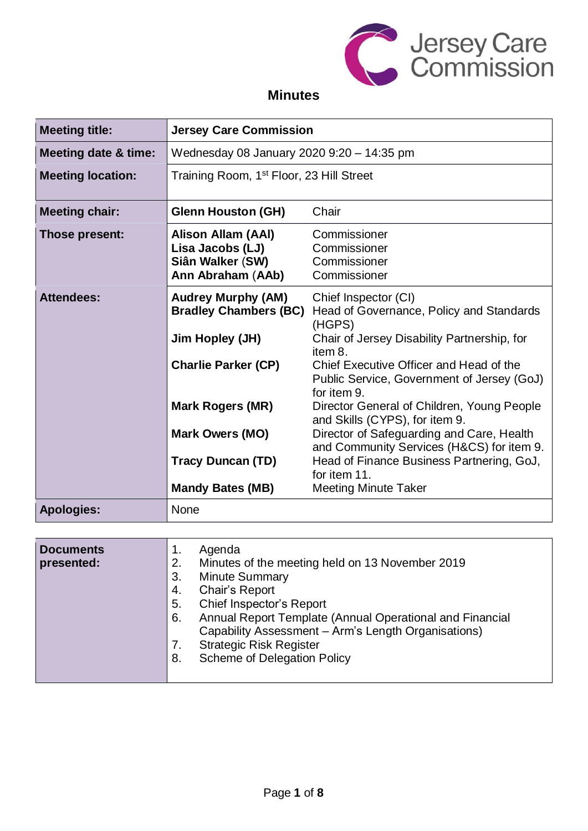

# **Minutes**

| <b>Meeting title:</b>           | <b>Jersey Care Commission</b>                                                                                                                                                               |                                                                                                                                                                                                                                                                                                                                                                                                                                                                                     |
|---------------------------------|---------------------------------------------------------------------------------------------------------------------------------------------------------------------------------------------|-------------------------------------------------------------------------------------------------------------------------------------------------------------------------------------------------------------------------------------------------------------------------------------------------------------------------------------------------------------------------------------------------------------------------------------------------------------------------------------|
| <b>Meeting date &amp; time:</b> | Wednesday 08 January 2020 9:20 - 14:35 pm                                                                                                                                                   |                                                                                                                                                                                                                                                                                                                                                                                                                                                                                     |
| <b>Meeting location:</b>        | Training Room, 1 <sup>st</sup> Floor, 23 Hill Street                                                                                                                                        |                                                                                                                                                                                                                                                                                                                                                                                                                                                                                     |
| <b>Meeting chair:</b>           | <b>Glenn Houston (GH)</b>                                                                                                                                                                   | Chair                                                                                                                                                                                                                                                                                                                                                                                                                                                                               |
| Those present:                  | Alison Allam (AAI)<br>Lisa Jacobs (LJ)<br>Siân Walker (SW)<br>Ann Abraham (AAb)                                                                                                             | Commissioner<br>Commissioner<br>Commissioner<br>Commissioner                                                                                                                                                                                                                                                                                                                                                                                                                        |
| <b>Attendees:</b>               | <b>Audrey Murphy (AM)</b><br><b>Bradley Chambers (BC)</b><br>Jim Hopley (JH)<br><b>Charlie Parker (CP)</b><br><b>Mark Rogers (MR)</b><br><b>Mark Owers (MO)</b><br><b>Tracy Duncan (TD)</b> | Chief Inspector (CI)<br>Head of Governance, Policy and Standards<br>(HGPS)<br>Chair of Jersey Disability Partnership, for<br>item 8.<br>Chief Executive Officer and Head of the<br>Public Service, Government of Jersey (GoJ)<br>for item 9.<br>Director General of Children, Young People<br>and Skills (CYPS), for item 9.<br>Director of Safeguarding and Care, Health<br>and Community Services (H&CS) for item 9.<br>Head of Finance Business Partnering, GoJ,<br>for item 11. |
|                                 | <b>Mandy Bates (MB)</b>                                                                                                                                                                     | <b>Meeting Minute Taker</b>                                                                                                                                                                                                                                                                                                                                                                                                                                                         |
| <b>Apologies:</b>               | <b>None</b>                                                                                                                                                                                 |                                                                                                                                                                                                                                                                                                                                                                                                                                                                                     |

| <b>Minute Summary</b><br>3.<br>Chair's Report<br>4.<br>Chief Inspector's Report<br>5.<br>Annual Report Template (Annual Operational and Financial<br>6.<br>Capability Assessment - Arm's Length Organisations)<br><b>Strategic Risk Register</b><br>7.<br><b>Scheme of Delegation Policy</b><br>8. | <b>Documents</b><br>presented: |
|----------------------------------------------------------------------------------------------------------------------------------------------------------------------------------------------------------------------------------------------------------------------------------------------------|--------------------------------|
|----------------------------------------------------------------------------------------------------------------------------------------------------------------------------------------------------------------------------------------------------------------------------------------------------|--------------------------------|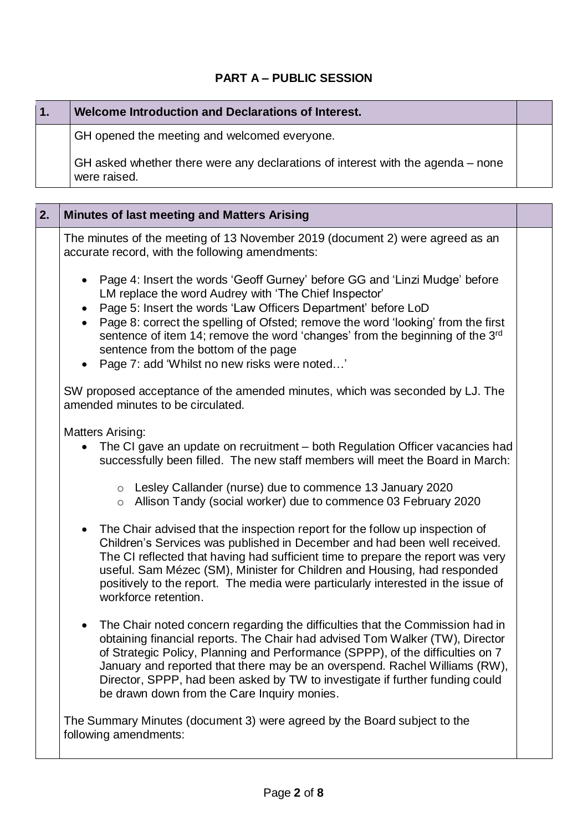## **PART A – PUBLIC SESSION**

| 1. | Welcome Introduction and Declarations of Interest.                                                                                                                                                                                                                                                                                                                                                                                                                                         |  |
|----|--------------------------------------------------------------------------------------------------------------------------------------------------------------------------------------------------------------------------------------------------------------------------------------------------------------------------------------------------------------------------------------------------------------------------------------------------------------------------------------------|--|
|    | GH opened the meeting and welcomed everyone.                                                                                                                                                                                                                                                                                                                                                                                                                                               |  |
|    | GH asked whether there were any declarations of interest with the agenda – none<br>were raised.                                                                                                                                                                                                                                                                                                                                                                                            |  |
|    |                                                                                                                                                                                                                                                                                                                                                                                                                                                                                            |  |
| 2. | <b>Minutes of last meeting and Matters Arising</b>                                                                                                                                                                                                                                                                                                                                                                                                                                         |  |
|    | The minutes of the meeting of 13 November 2019 (document 2) were agreed as an<br>accurate record, with the following amendments:                                                                                                                                                                                                                                                                                                                                                           |  |
|    | Page 4: Insert the words 'Geoff Gurney' before GG and 'Linzi Mudge' before<br>LM replace the word Audrey with 'The Chief Inspector'<br>Page 5: Insert the words 'Law Officers Department' before LoD<br>$\bullet$<br>Page 8: correct the spelling of Ofsted; remove the word 'looking' from the first<br>$\bullet$<br>sentence of item 14; remove the word 'changes' from the beginning of the 3rd<br>sentence from the bottom of the page<br>Page 7: add 'Whilst no new risks were noted' |  |
|    | SW proposed acceptance of the amended minutes, which was seconded by LJ. The<br>amended minutes to be circulated.                                                                                                                                                                                                                                                                                                                                                                          |  |
|    | <b>Matters Arising:</b><br>The CI gave an update on recruitment – both Regulation Officer vacancies had<br>successfully been filled. The new staff members will meet the Board in March:                                                                                                                                                                                                                                                                                                   |  |
|    | o Lesley Callander (nurse) due to commence 13 January 2020<br>o Allison Tandy (social worker) due to commence 03 February 2020                                                                                                                                                                                                                                                                                                                                                             |  |
|    | The Chair advised that the inspection report for the follow up inspection of<br>Children's Services was published in December and had been well received.<br>The CI reflected that having had sufficient time to prepare the report was very<br>useful. Sam Mézec (SM), Minister for Children and Housing, had responded<br>positively to the report. The media were particularly interested in the issue of<br>workforce retention.                                                       |  |
|    | The Chair noted concern regarding the difficulties that the Commission had in<br>$\bullet$<br>obtaining financial reports. The Chair had advised Tom Walker (TW), Director<br>of Strategic Policy, Planning and Performance (SPPP), of the difficulties on 7<br>January and reported that there may be an overspend. Rachel Williams (RW),<br>Director, SPPP, had been asked by TW to investigate if further funding could<br>be drawn down from the Care Inquiry monies.                  |  |
|    | The Summary Minutes (document 3) were agreed by the Board subject to the<br>following amendments:                                                                                                                                                                                                                                                                                                                                                                                          |  |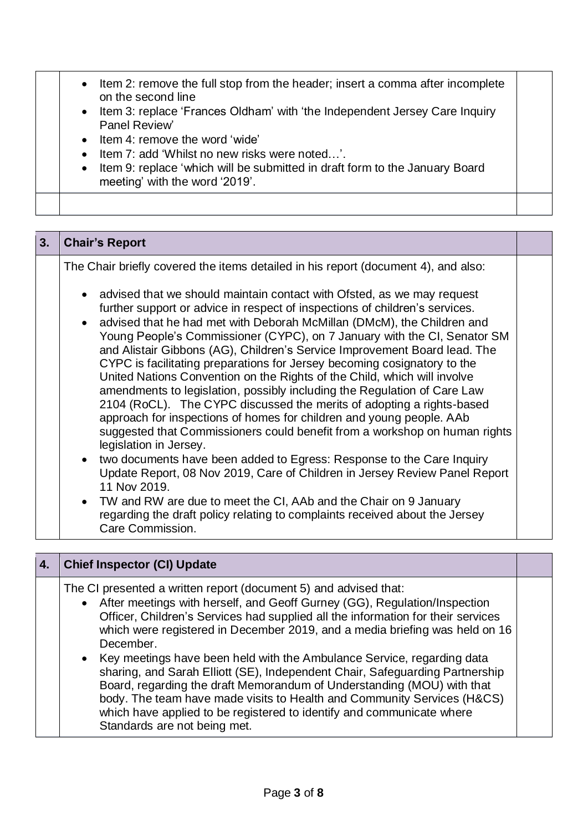| • Item 2: remove the full stop from the header; insert a comma after incomplete<br>on the second line<br>• Item 3: replace 'Frances Oldham' with 'the Independent Jersey Care Inquiry<br>Panel Review'<br>• Item 4: remove the word 'wide'<br>• Item 7: add 'Whilst no new risks were noted'.<br>• Item 9: replace 'which will be submitted in draft form to the January Board<br>meeting' with the word '2019'. |  |
|------------------------------------------------------------------------------------------------------------------------------------------------------------------------------------------------------------------------------------------------------------------------------------------------------------------------------------------------------------------------------------------------------------------|--|
|                                                                                                                                                                                                                                                                                                                                                                                                                  |  |

| 3. | <b>Chair's Report</b>                                                                                                                                                                                                                                                                                                                                                                                                                                                                                                                                                                                                                                                                                                                                                                                                                                                                                                                                                                                                                                                                                                                                                                                                                   |  |
|----|-----------------------------------------------------------------------------------------------------------------------------------------------------------------------------------------------------------------------------------------------------------------------------------------------------------------------------------------------------------------------------------------------------------------------------------------------------------------------------------------------------------------------------------------------------------------------------------------------------------------------------------------------------------------------------------------------------------------------------------------------------------------------------------------------------------------------------------------------------------------------------------------------------------------------------------------------------------------------------------------------------------------------------------------------------------------------------------------------------------------------------------------------------------------------------------------------------------------------------------------|--|
|    | The Chair briefly covered the items detailed in his report (document 4), and also:                                                                                                                                                                                                                                                                                                                                                                                                                                                                                                                                                                                                                                                                                                                                                                                                                                                                                                                                                                                                                                                                                                                                                      |  |
|    | advised that we should maintain contact with Ofsted, as we may request<br>further support or advice in respect of inspections of children's services.<br>• advised that he had met with Deborah McMillan (DMcM), the Children and<br>Young People's Commissioner (CYPC), on 7 January with the CI, Senator SM<br>and Alistair Gibbons (AG), Children's Service Improvement Board lead. The<br>CYPC is facilitating preparations for Jersey becoming cosignatory to the<br>United Nations Convention on the Rights of the Child, which will involve<br>amendments to legislation, possibly including the Regulation of Care Law<br>2104 (RoCL). The CYPC discussed the merits of adopting a rights-based<br>approach for inspections of homes for children and young people. AAb<br>suggested that Commissioners could benefit from a workshop on human rights<br>legislation in Jersey.<br>two documents have been added to Egress: Response to the Care Inquiry<br>Update Report, 08 Nov 2019, Care of Children in Jersey Review Panel Report<br>11 Nov 2019.<br>• TW and RW are due to meet the CI, AAb and the Chair on 9 January<br>regarding the draft policy relating to complaints received about the Jersey<br>Care Commission. |  |
| 4. | <b>Chief Inspector (CI) Update</b>                                                                                                                                                                                                                                                                                                                                                                                                                                                                                                                                                                                                                                                                                                                                                                                                                                                                                                                                                                                                                                                                                                                                                                                                      |  |
|    | The CI presented a written report (document 5) and advised that:                                                                                                                                                                                                                                                                                                                                                                                                                                                                                                                                                                                                                                                                                                                                                                                                                                                                                                                                                                                                                                                                                                                                                                        |  |

• After meetings with herself, and Geoff Gurney (GG), Regulation/Inspection Officer, Children's Services had supplied all the information for their services which were registered in December 2019, and a media briefing was held on 16 December.

• Key meetings have been held with the Ambulance Service, regarding data sharing, and Sarah Elliott (SE), Independent Chair, Safeguarding Partnership Board, regarding the draft Memorandum of Understanding (MOU) with that body. The team have made visits to Health and Community Services (H&CS) which have applied to be registered to identify and communicate where Standards are not being met.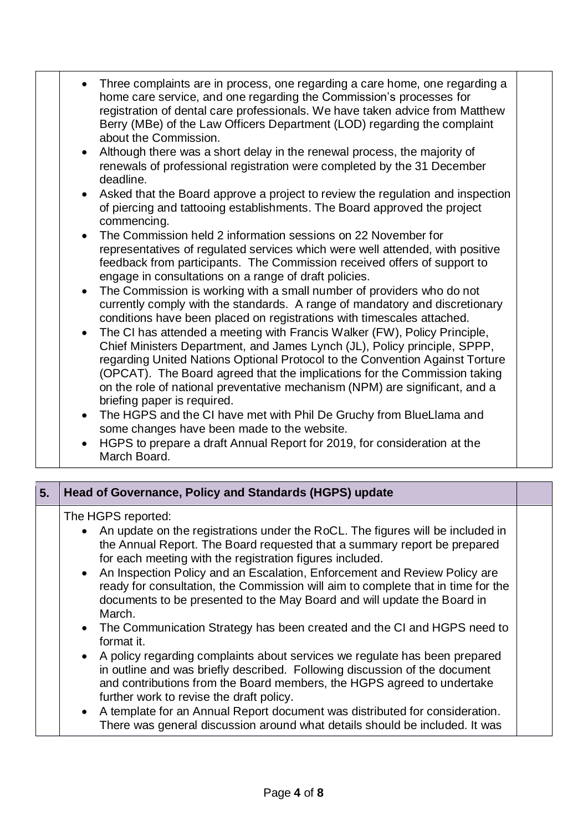| • Three complaints are in process, one regarding a care home, one regarding a<br>home care service, and one regarding the Commission's processes for<br>registration of dental care professionals. We have taken advice from Matthew<br>Berry (MBe) of the Law Officers Department (LOD) regarding the complaint<br>about the Commission.<br>Although there was a short delay in the renewal process, the majority of<br>$\bullet$<br>renewals of professional registration were completed by the 31 December<br>deadline.<br>Asked that the Board approve a project to review the regulation and inspection<br>$\bullet$<br>of piercing and tattooing establishments. The Board approved the project<br>commencing.<br>• The Commission held 2 information sessions on 22 November for<br>representatives of regulated services which were well attended, with positive<br>feedback from participants. The Commission received offers of support to<br>engage in consultations on a range of draft policies.<br>The Commission is working with a small number of providers who do not<br>$\bullet$<br>currently comply with the standards. A range of mandatory and discretionary<br>conditions have been placed on registrations with timescales attached.<br>The CI has attended a meeting with Francis Walker (FW), Policy Principle,<br>$\bullet$<br>Chief Ministers Department, and James Lynch (JL), Policy principle, SPPP,<br>regarding United Nations Optional Protocol to the Convention Against Torture<br>(OPCAT). The Board agreed that the implications for the Commission taking<br>on the role of national preventative mechanism (NPM) are significant, and a |
|---------------------------------------------------------------------------------------------------------------------------------------------------------------------------------------------------------------------------------------------------------------------------------------------------------------------------------------------------------------------------------------------------------------------------------------------------------------------------------------------------------------------------------------------------------------------------------------------------------------------------------------------------------------------------------------------------------------------------------------------------------------------------------------------------------------------------------------------------------------------------------------------------------------------------------------------------------------------------------------------------------------------------------------------------------------------------------------------------------------------------------------------------------------------------------------------------------------------------------------------------------------------------------------------------------------------------------------------------------------------------------------------------------------------------------------------------------------------------------------------------------------------------------------------------------------------------------------------------------------------------------------------------------------------------------|
| briefing paper is required.                                                                                                                                                                                                                                                                                                                                                                                                                                                                                                                                                                                                                                                                                                                                                                                                                                                                                                                                                                                                                                                                                                                                                                                                                                                                                                                                                                                                                                                                                                                                                                                                                                                     |
| The HGPS and the CI have met with Phil De Gruchy from BlueLlama and<br>$\bullet$<br>some changes have been made to the website.                                                                                                                                                                                                                                                                                                                                                                                                                                                                                                                                                                                                                                                                                                                                                                                                                                                                                                                                                                                                                                                                                                                                                                                                                                                                                                                                                                                                                                                                                                                                                 |
| HGPS to prepare a draft Annual Report for 2019, for consideration at the<br>$\bullet$<br>March Board.                                                                                                                                                                                                                                                                                                                                                                                                                                                                                                                                                                                                                                                                                                                                                                                                                                                                                                                                                                                                                                                                                                                                                                                                                                                                                                                                                                                                                                                                                                                                                                           |

| 5. | Head of Governance, Policy and Standards (HGPS) update                                                                                                                                                                                                                                                                                                                                                                                                                                                                                                                                                     |  |
|----|------------------------------------------------------------------------------------------------------------------------------------------------------------------------------------------------------------------------------------------------------------------------------------------------------------------------------------------------------------------------------------------------------------------------------------------------------------------------------------------------------------------------------------------------------------------------------------------------------------|--|
|    | The HGPS reported:<br>An update on the registrations under the RoCL. The figures will be included in<br>the Annual Report. The Board requested that a summary report be prepared<br>for each meeting with the registration figures included.<br>An Inspection Policy and an Escalation, Enforcement and Review Policy are<br>$\bullet$<br>ready for consultation, the Commission will aim to complete that in time for the<br>documents to be presented to the May Board and will update the Board in<br>March.<br>• The Communication Strategy has been created and the CI and HGPS need to<br>format it. |  |
|    | A policy regarding complaints about services we regulate has been prepared<br>$\bullet$<br>in outline and was briefly described. Following discussion of the document<br>and contributions from the Board members, the HGPS agreed to undertake<br>further work to revise the draft policy.<br>A template for an Annual Report document was distributed for consideration.<br>$\bullet$<br>There was general discussion around what details should be included. It was                                                                                                                                     |  |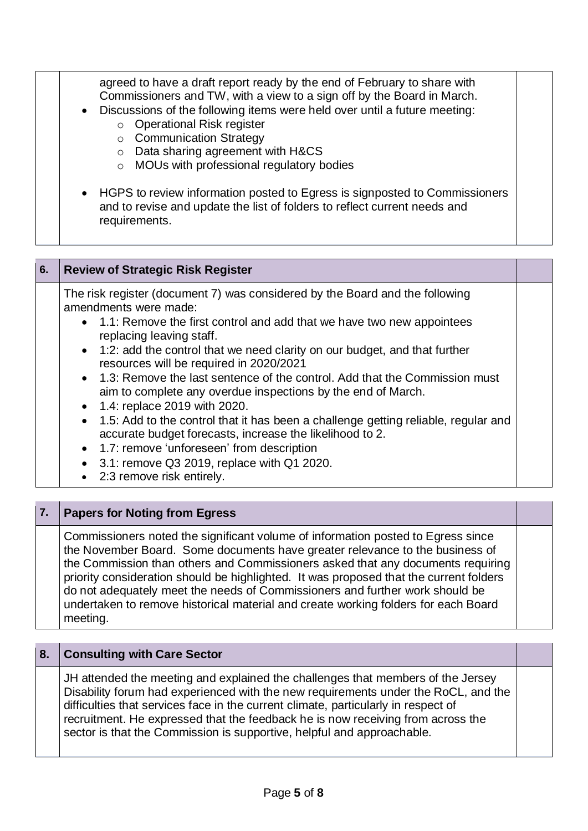| agreed to have a draft report ready by the end of February to share with<br>Commissioners and TW, with a view to a sign off by the Board in March.<br>• Discussions of the following items were held over until a future meeting:<br><b>Operational Risk register</b><br>$\circ$<br>○ Communication Strategy<br>Data sharing agreement with H&CS<br>$\circ$<br>o MOUs with professional regulatory bodies |  |
|-----------------------------------------------------------------------------------------------------------------------------------------------------------------------------------------------------------------------------------------------------------------------------------------------------------------------------------------------------------------------------------------------------------|--|
| • HGPS to review information posted to Egress is signposted to Commissioners<br>and to revise and update the list of folders to reflect current needs and<br>requirements.                                                                                                                                                                                                                                |  |

| 6. | <b>Review of Strategic Risk Register</b>                                                                                                                                                                                                                                                                                                                                                                                                                                                                                                                                                                                                                                                                                                                                               |  |
|----|----------------------------------------------------------------------------------------------------------------------------------------------------------------------------------------------------------------------------------------------------------------------------------------------------------------------------------------------------------------------------------------------------------------------------------------------------------------------------------------------------------------------------------------------------------------------------------------------------------------------------------------------------------------------------------------------------------------------------------------------------------------------------------------|--|
|    | The risk register (document 7) was considered by the Board and the following<br>amendments were made:<br>• 1.1: Remove the first control and add that we have two new appointees<br>replacing leaving staff.<br>• 1:2: add the control that we need clarity on our budget, and that further<br>resources will be required in 2020/2021<br>• 1.3: Remove the last sentence of the control. Add that the Commission must<br>aim to complete any overdue inspections by the end of March.<br>• 1.4: replace 2019 with 2020.<br>• 1.5: Add to the control that it has been a challenge getting reliable, regular and<br>accurate budget forecasts, increase the likelihood to 2.<br>• 1.7: remove 'unforeseen' from description<br>3.1: remove Q3 2019, replace with Q1 2020.<br>$\bullet$ |  |
|    | 2:3 remove risk entirely.<br>$\bullet$                                                                                                                                                                                                                                                                                                                                                                                                                                                                                                                                                                                                                                                                                                                                                 |  |

## **7. Papers for Noting from Egress**

Commissioners noted the significant volume of information posted to Egress since the November Board. Some documents have greater relevance to the business of the Commission than others and Commissioners asked that any documents requiring priority consideration should be highlighted. It was proposed that the current folders do not adequately meet the needs of Commissioners and further work should be undertaken to remove historical material and create working folders for each Board meeting.

#### **8. Consulting with Care Sector**

JH attended the meeting and explained the challenges that members of the Jersey Disability forum had experienced with the new requirements under the RoCL, and the difficulties that services face in the current climate, particularly in respect of recruitment. He expressed that the feedback he is now receiving from across the sector is that the Commission is supportive, helpful and approachable.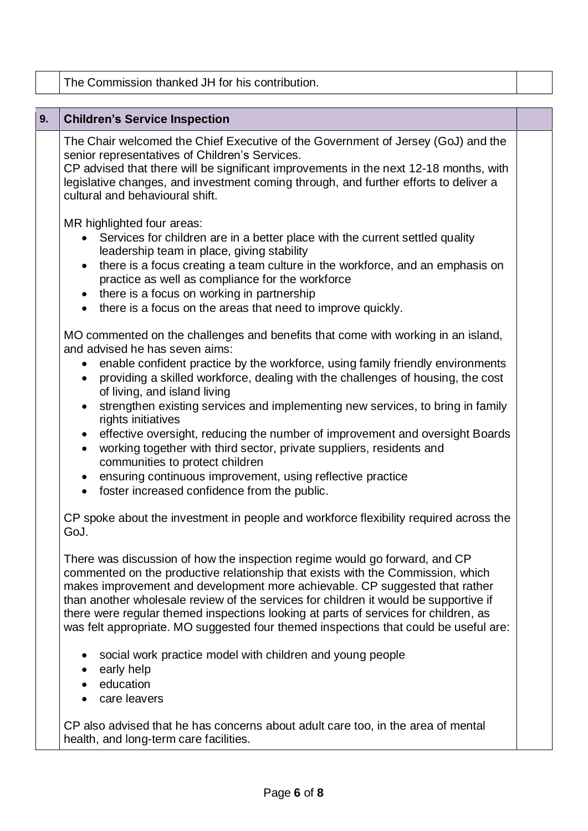|    | The Commission thanked JH for his contribution.                                                                                                                                                                                                                                                                                                                                                                                                                                                                                                                                                                                                                                                                                                                                              |  |
|----|----------------------------------------------------------------------------------------------------------------------------------------------------------------------------------------------------------------------------------------------------------------------------------------------------------------------------------------------------------------------------------------------------------------------------------------------------------------------------------------------------------------------------------------------------------------------------------------------------------------------------------------------------------------------------------------------------------------------------------------------------------------------------------------------|--|
|    |                                                                                                                                                                                                                                                                                                                                                                                                                                                                                                                                                                                                                                                                                                                                                                                              |  |
| 9. | <b>Children's Service Inspection</b>                                                                                                                                                                                                                                                                                                                                                                                                                                                                                                                                                                                                                                                                                                                                                         |  |
|    | The Chair welcomed the Chief Executive of the Government of Jersey (GoJ) and the<br>senior representatives of Children's Services.<br>CP advised that there will be significant improvements in the next 12-18 months, with<br>legislative changes, and investment coming through, and further efforts to deliver a<br>cultural and behavioural shift.                                                                                                                                                                                                                                                                                                                                                                                                                                       |  |
|    | MR highlighted four areas:<br>• Services for children are in a better place with the current settled quality<br>leadership team in place, giving stability<br>there is a focus creating a team culture in the workforce, and an emphasis on<br>$\bullet$<br>practice as well as compliance for the workforce<br>• there is a focus on working in partnership<br>• there is a focus on the areas that need to improve quickly.                                                                                                                                                                                                                                                                                                                                                                |  |
|    | MO commented on the challenges and benefits that come with working in an island,<br>and advised he has seven aims:<br>enable confident practice by the workforce, using family friendly environments<br>$\bullet$<br>providing a skilled workforce, dealing with the challenges of housing, the cost<br>$\bullet$<br>of living, and island living<br>strengthen existing services and implementing new services, to bring in family<br>rights initiatives<br>effective oversight, reducing the number of improvement and oversight Boards<br>working together with third sector, private suppliers, residents and<br>$\bullet$<br>communities to protect children<br>ensuring continuous improvement, using reflective practice<br>foster increased confidence from the public.<br>$\bullet$ |  |
|    | CP spoke about the investment in people and workforce flexibility required across the<br>GoJ.                                                                                                                                                                                                                                                                                                                                                                                                                                                                                                                                                                                                                                                                                                |  |
|    | There was discussion of how the inspection regime would go forward, and CP<br>commented on the productive relationship that exists with the Commission, which<br>makes improvement and development more achievable. CP suggested that rather<br>than another wholesale review of the services for children it would be supportive if<br>there were regular themed inspections looking at parts of services for children, as<br>was felt appropriate. MO suggested four themed inspections that could be useful are:                                                                                                                                                                                                                                                                          |  |
|    | social work practice model with children and young people<br>early help<br>education<br>care leavers                                                                                                                                                                                                                                                                                                                                                                                                                                                                                                                                                                                                                                                                                         |  |
|    | CP also advised that he has concerns about adult care too, in the area of mental<br>health, and long-term care facilities.                                                                                                                                                                                                                                                                                                                                                                                                                                                                                                                                                                                                                                                                   |  |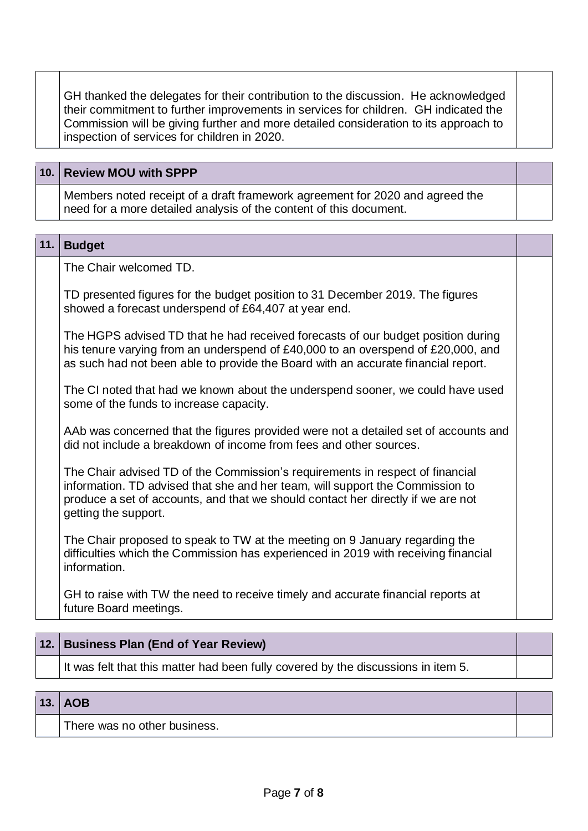GH thanked the delegates for their contribution to the discussion. He acknowledged their commitment to further improvements in services for children. GH indicated the Commission will be giving further and more detailed consideration to its approach to inspection of services for children in 2020.

| 10. Review MOU with SPPP                                                                                                                           |  |
|----------------------------------------------------------------------------------------------------------------------------------------------------|--|
| Members noted receipt of a draft framework agreement for 2020 and agreed the<br>need for a more detailed analysis of the content of this document. |  |

#### **11. Budget**

The Chair welcomed TD.

TD presented figures for the budget position to 31 December 2019. The figures showed a forecast underspend of £64,407 at year end.

The HGPS advised TD that he had received forecasts of our budget position during his tenure varying from an underspend of £40,000 to an overspend of £20,000, and as such had not been able to provide the Board with an accurate financial report.

The CI noted that had we known about the underspend sooner, we could have used some of the funds to increase capacity.

AAb was concerned that the figures provided were not a detailed set of accounts and did not include a breakdown of income from fees and other sources.

The Chair advised TD of the Commission's requirements in respect of financial information. TD advised that she and her team, will support the Commission to produce a set of accounts, and that we should contact her directly if we are not getting the support.

The Chair proposed to speak to TW at the meeting on 9 January regarding the difficulties which the Commission has experienced in 2019 with receiving financial information.

GH to raise with TW the need to receive timely and accurate financial reports at future Board meetings.

## **12. Business Plan (End of Year Review)**

It was felt that this matter had been fully covered by the discussions in item 5.

#### **13. AOB**

There was no other business.